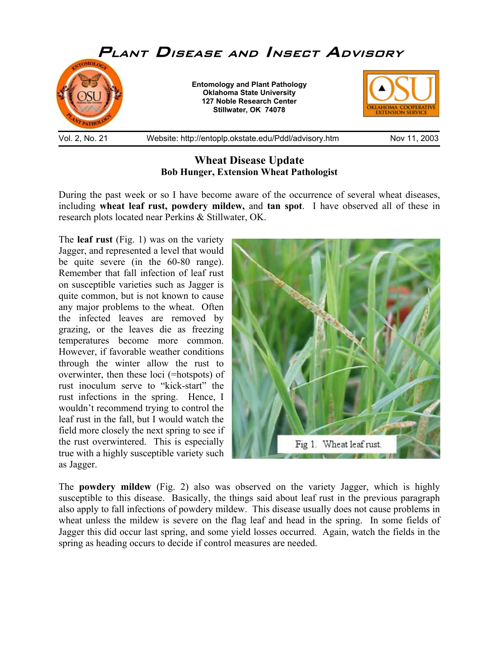

## **Wheat Disease Update Bob Hunger, Extension Wheat Pathologist**

During the past week or so I have become aware of the occurrence of several wheat diseases, including **wheat leaf rust, powdery mildew,** and **tan spot**. I have observed all of these in research plots located near Perkins & Stillwater, OK.

The **leaf rust** (Fig. 1) was on the variety Jagger, and represented a level that would be quite severe (in the 60-80 range). Remember that fall infection of leaf rust on susceptible varieties such as Jagger is quite common, but is not known to cause any major problems to the wheat. Often the infected leaves are removed by grazing, or the leaves die as freezing temperatures become more common. However, if favorable weather conditions through the winter allow the rust to overwinter, then these loci (=hotspots) of rust inoculum serve to "kick-start" the rust infections in the spring. Hence, I wouldn't recommend trying to control the leaf rust in the fall, but I would watch the field more closely the next spring to see if the rust overwintered. This is especially true with a highly susceptible variety such as Jagger.



The **powdery mildew** (Fig. 2) also was observed on the variety Jagger, which is highly susceptible to this disease. Basically, the things said about leaf rust in the previous paragraph also apply to fall infections of powdery mildew. This disease usually does not cause problems in wheat unless the mildew is severe on the flag leaf and head in the spring. In some fields of Jagger this did occur last spring, and some yield losses occurred. Again, watch the fields in the spring as heading occurs to decide if control measures are needed.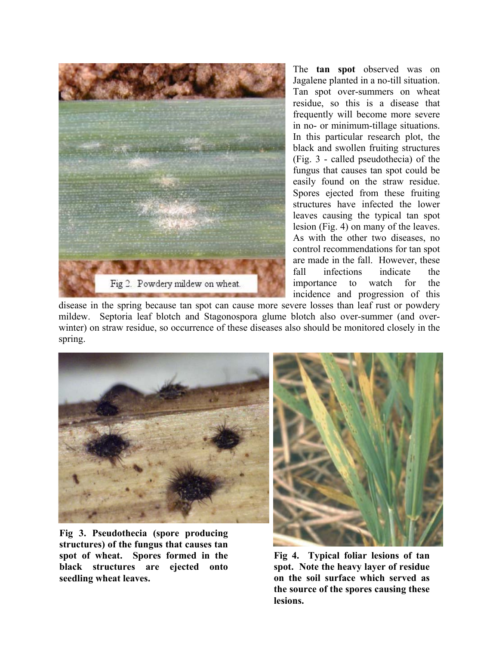

The **tan spot** observed was on Jagalene planted in a no-till situation. Tan spot over-summers on wheat residue, so this is a disease that frequently will become more severe in no- or minimum-tillage situations. In this particular research plot, the black and swollen fruiting structures (Fig. 3 - called pseudothecia) of the fungus that causes tan spot could be easily found on the straw residue. Spores ejected from these fruiting structures have infected the lower leaves causing the typical tan spot lesion (Fig. 4) on many of the leaves. As with the other two diseases, no control recommendations for tan spot are made in the fall. However, these fall infections indicate the importance to watch for the incidence and progression of this

disease in the spring because tan spot can cause more severe losses than leaf rust or powdery mildew. Septoria leaf blotch and Stagonospora glume blotch also over-summer (and overwinter) on straw residue, so occurrence of these diseases also should be monitored closely in the spring.



**Fig 3. Pseudothecia (spore producing structures) of the fungus that causes tan spot of wheat. Spores formed in the black structures are ejected onto seedling wheat leaves.** 



**Fig 4. Typical foliar lesions of tan spot. Note the heavy layer of residue on the soil surface which served as the source of the spores causing these lesions.**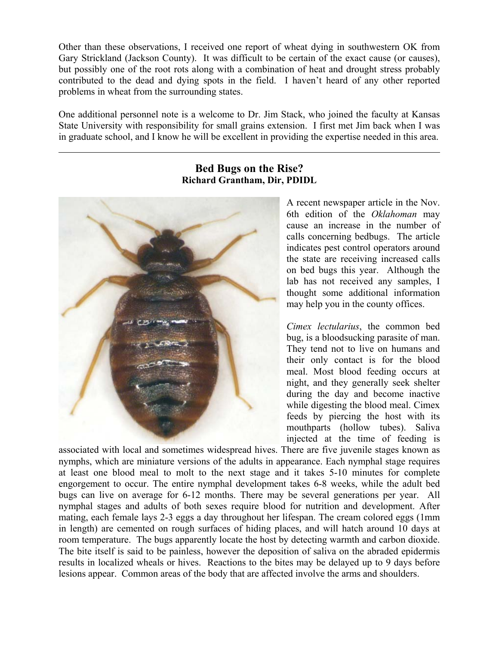Other than these observations, I received one report of wheat dying in southwestern OK from Gary Strickland (Jackson County). It was difficult to be certain of the exact cause (or causes), but possibly one of the root rots along with a combination of heat and drought stress probably contributed to the dead and dying spots in the field. I haven't heard of any other reported problems in wheat from the surrounding states.

One additional personnel note is a welcome to Dr. Jim Stack, who joined the faculty at Kansas State University with responsibility for small grains extension. I first met Jim back when I was in graduate school, and I know he will be excellent in providing the expertise needed in this area.

## **Bed Bugs on the Rise? Richard Grantham, Dir, PDIDL**



 $\overline{a}$ 

A recent newspaper article in the Nov. 6th edition of the *Oklahoman* may cause an increase in the number of calls concerning bedbugs. The article indicates pest control operators around the state are receiving increased calls on bed bugs this year. Although the lab has not received any samples, I thought some additional information may help you in the county offices.

*Cimex lectularius*, the common bed bug, is a bloodsucking parasite of man. They tend not to live on humans and their only contact is for the blood meal. Most blood feeding occurs at night, and they generally seek shelter during the day and become inactive while digesting the blood meal. Cimex feeds by piercing the host with its mouthparts (hollow tubes). Saliva injected at the time of feeding is

associated with local and sometimes widespread hives. There are five juvenile stages known as nymphs, which are miniature versions of the adults in appearance. Each nymphal stage requires at least one blood meal to molt to the next stage and it takes 5-10 minutes for complete engorgement to occur. The entire nymphal development takes 6-8 weeks, while the adult bed bugs can live on average for 6-12 months. There may be several generations per year. All nymphal stages and adults of both sexes require blood for nutrition and development. After mating, each female lays 2-3 eggs a day throughout her lifespan. The cream colored eggs (1mm in length) are cemented on rough surfaces of hiding places, and will hatch around 10 days at room temperature. The bugs apparently locate the host by detecting warmth and carbon dioxide. The bite itself is said to be painless, however the deposition of saliva on the abraded epidermis results in localized wheals or hives. Reactions to the bites may be delayed up to 9 days before lesions appear. Common areas of the body that are affected involve the arms and shoulders.